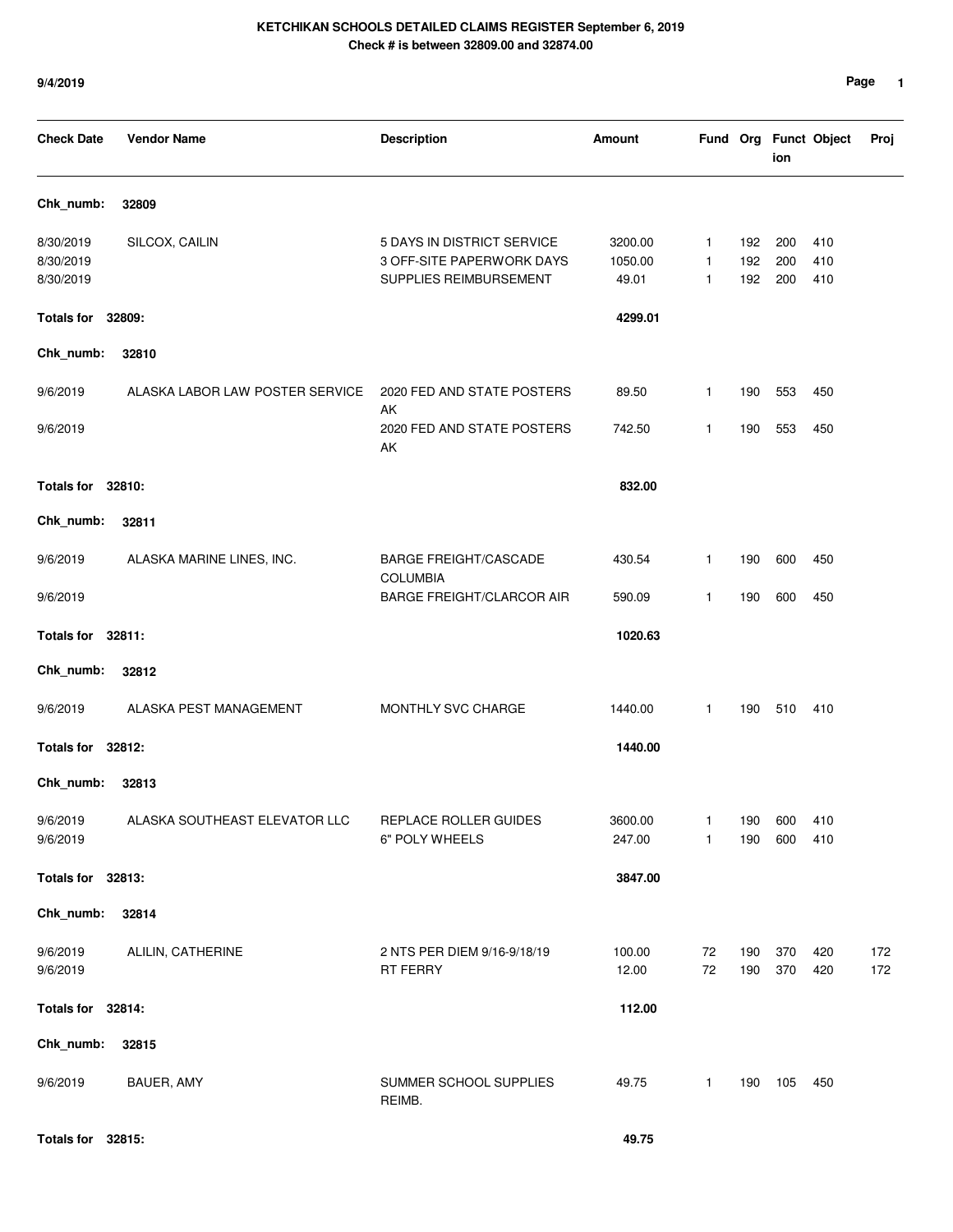| <b>Check Date</b>                   | <b>Vendor Name</b>              | <b>Description</b>                                                                | Amount                      |             |                   | ion               | Fund Org Funct Object | Proj       |
|-------------------------------------|---------------------------------|-----------------------------------------------------------------------------------|-----------------------------|-------------|-------------------|-------------------|-----------------------|------------|
| Chk_numb:                           | 32809                           |                                                                                   |                             |             |                   |                   |                       |            |
| 8/30/2019<br>8/30/2019<br>8/30/2019 | SILCOX, CAILIN                  | 5 DAYS IN DISTRICT SERVICE<br>3 OFF-SITE PAPERWORK DAYS<br>SUPPLIES REIMBURSEMENT | 3200.00<br>1050.00<br>49.01 | 1<br>1<br>1 | 192<br>192<br>192 | 200<br>200<br>200 | 410<br>410<br>410     |            |
| <b>Totals for</b>                   | 32809:                          |                                                                                   | 4299.01                     |             |                   |                   |                       |            |
| Chk_numb:                           | 32810                           |                                                                                   |                             |             |                   |                   |                       |            |
| 9/6/2019                            | ALASKA LABOR LAW POSTER SERVICE | 2020 FED AND STATE POSTERS                                                        | 89.50                       | 1           | 190               | 553               | 450                   |            |
| 9/6/2019                            |                                 | AK<br>2020 FED AND STATE POSTERS<br>AK                                            | 742.50                      | 1           | 190               | 553               | 450                   |            |
| Totals for 32810:                   |                                 |                                                                                   | 832.00                      |             |                   |                   |                       |            |
| Chk_numb:                           | 32811                           |                                                                                   |                             |             |                   |                   |                       |            |
| 9/6/2019                            | ALASKA MARINE LINES, INC.       | <b>BARGE FREIGHT/CASCADE</b>                                                      | 430.54                      | 1           | 190               | 600               | 450                   |            |
| 9/6/2019                            |                                 | <b>COLUMBIA</b><br><b>BARGE FREIGHT/CLARCOR AIR</b>                               | 590.09                      | 1           | 190               | 600               | 450                   |            |
| <b>Totals for</b>                   | 32811:                          |                                                                                   | 1020.63                     |             |                   |                   |                       |            |
| Chk_numb:                           | 32812                           |                                                                                   |                             |             |                   |                   |                       |            |
| 9/6/2019                            | ALASKA PEST MANAGEMENT          | MONTHLY SVC CHARGE                                                                | 1440.00                     | 1           | 190               | 510               | 410                   |            |
| Totals for 32812:                   |                                 |                                                                                   | 1440.00                     |             |                   |                   |                       |            |
| Chk_numb:                           | 32813                           |                                                                                   |                             |             |                   |                   |                       |            |
| 9/6/2019<br>9/6/2019                | ALASKA SOUTHEAST ELEVATOR LLC   | REPLACE ROLLER GUIDES<br>6" POLY WHEELS                                           | 3600.00<br>247.00           | 1<br>1      | 190<br>190        | 600<br>600        | 410<br>410            |            |
| Totals for 32813:                   |                                 |                                                                                   | 3847.00                     |             |                   |                   |                       |            |
| Chk_numb:                           | 32814                           |                                                                                   |                             |             |                   |                   |                       |            |
| 9/6/2019<br>9/6/2019                | ALILIN, CATHERINE               | 2 NTS PER DIEM 9/16-9/18/19<br>RT FERRY                                           | 100.00<br>12.00             | 72<br>72    | 190<br>190        | 370<br>370        | 420<br>420            | 172<br>172 |
| Totals for 32814:                   |                                 |                                                                                   | 112.00                      |             |                   |                   |                       |            |
| Chk_numb:                           | 32815                           |                                                                                   |                             |             |                   |                   |                       |            |
| 9/6/2019                            | BAUER, AMY                      | SUMMER SCHOOL SUPPLIES<br>REIMB.                                                  | 49.75                       | 1           | 190               | 105               | 450                   |            |

**Totals for 32815: 49.75**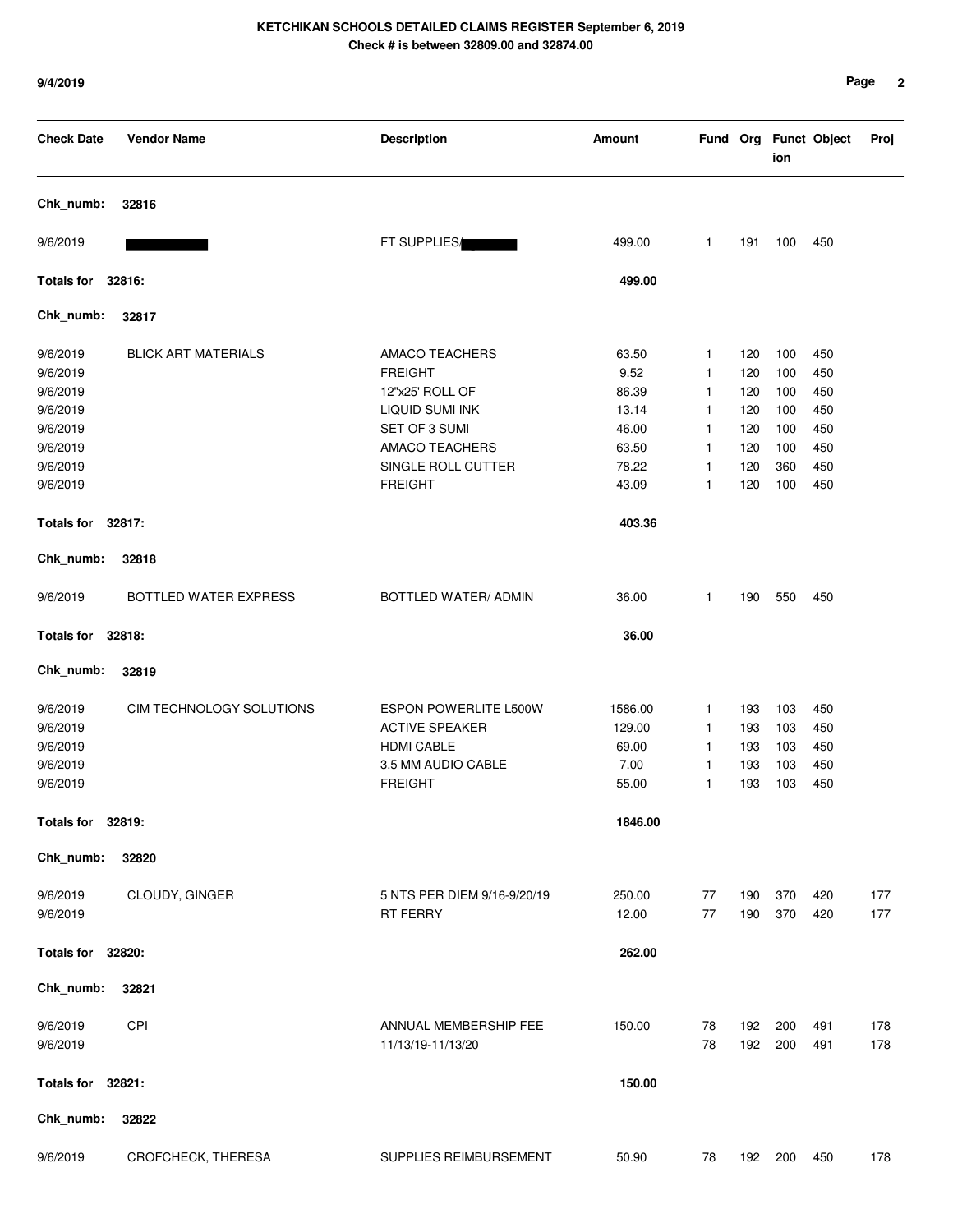| <b>Check Date</b>                                        | <b>Vendor Name</b>         | <b>Description</b>                                                                                                 | Amount                                      |                                  |                                 | ion                             | Fund Org Funct Object           | Proj       |
|----------------------------------------------------------|----------------------------|--------------------------------------------------------------------------------------------------------------------|---------------------------------------------|----------------------------------|---------------------------------|---------------------------------|---------------------------------|------------|
| Chk_numb:                                                | 32816                      |                                                                                                                    |                                             |                                  |                                 |                                 |                                 |            |
| 9/6/2019                                                 |                            | FT SUPPLIES/                                                                                                       | 499.00                                      | $\mathbf{1}$                     | 191                             | 100                             | 450                             |            |
| Totals for 32816:                                        |                            |                                                                                                                    | 499.00                                      |                                  |                                 |                                 |                                 |            |
| Chk_numb:                                                | 32817                      |                                                                                                                    |                                             |                                  |                                 |                                 |                                 |            |
| 9/6/2019<br>9/6/2019<br>9/6/2019<br>9/6/2019             | <b>BLICK ART MATERIALS</b> | AMACO TEACHERS<br><b>FREIGHT</b><br>12"x25' ROLL OF<br>LIQUID SUMI INK                                             | 63.50<br>9.52<br>86.39<br>13.14             | 1<br>1<br>1<br>1                 | 120<br>120<br>120<br>120        | 100<br>100<br>100<br>100        | 450<br>450<br>450<br>450        |            |
| 9/6/2019<br>9/6/2019<br>9/6/2019<br>9/6/2019             |                            | SET OF 3 SUMI<br><b>AMACO TEACHERS</b><br>SINGLE ROLL CUTTER<br><b>FREIGHT</b>                                     | 46.00<br>63.50<br>78.22<br>43.09            | 1<br>1<br>1<br>1                 | 120<br>120<br>120<br>120        | 100<br>100<br>360<br>100        | 450<br>450<br>450<br>450        |            |
| Totals for 32817:                                        |                            |                                                                                                                    | 403.36                                      |                                  |                                 |                                 |                                 |            |
| Chk_numb:                                                | 32818                      |                                                                                                                    |                                             |                                  |                                 |                                 |                                 |            |
| 9/6/2019                                                 | BOTTLED WATER EXPRESS      | BOTTLED WATER/ ADMIN                                                                                               | 36.00                                       | 1                                | 190                             | 550                             | 450                             |            |
| Totals for 32818:                                        |                            |                                                                                                                    | 36.00                                       |                                  |                                 |                                 |                                 |            |
| Chk_numb:                                                | 32819                      |                                                                                                                    |                                             |                                  |                                 |                                 |                                 |            |
| 9/6/2019<br>9/6/2019<br>9/6/2019<br>9/6/2019<br>9/6/2019 | CIM TECHNOLOGY SOLUTIONS   | <b>ESPON POWERLITE L500W</b><br><b>ACTIVE SPEAKER</b><br><b>HDMI CABLE</b><br>3.5 MM AUDIO CABLE<br><b>FREIGHT</b> | 1586.00<br>129.00<br>69.00<br>7.00<br>55.00 | 1<br>1<br>$\mathbf{1}$<br>1<br>1 | 193<br>193<br>193<br>193<br>193 | 103<br>103<br>103<br>103<br>103 | 450<br>450<br>450<br>450<br>450 |            |
| Totals for 32819:                                        |                            |                                                                                                                    | 1846.00                                     |                                  |                                 |                                 |                                 |            |
| Chk_numb:                                                | 32820                      |                                                                                                                    |                                             |                                  |                                 |                                 |                                 |            |
| 9/6/2019<br>9/6/2019                                     | CLOUDY, GINGER             | 5 NTS PER DIEM 9/16-9/20/19<br>RT FERRY                                                                            | 250.00<br>12.00                             | 77<br>77                         | 190<br>190                      | 370<br>370                      | 420<br>420                      | 177<br>177 |
| Totals for 32820:                                        |                            |                                                                                                                    | 262.00                                      |                                  |                                 |                                 |                                 |            |
| Chk_numb:                                                | 32821                      |                                                                                                                    |                                             |                                  |                                 |                                 |                                 |            |
| 9/6/2019<br>9/6/2019                                     | <b>CPI</b>                 | ANNUAL MEMBERSHIP FEE<br>11/13/19-11/13/20                                                                         | 150.00                                      | 78<br>78                         | 192<br>192                      | 200<br>200                      | 491<br>491                      | 178<br>178 |
| Totals for 32821:                                        |                            |                                                                                                                    | 150.00                                      |                                  |                                 |                                 |                                 |            |
| Chk_numb:                                                | 32822                      |                                                                                                                    |                                             |                                  |                                 |                                 |                                 |            |
| 9/6/2019                                                 | CROFCHECK, THERESA         | SUPPLIES REIMBURSEMENT                                                                                             | 50.90                                       | 78                               |                                 | 192 200                         | 450                             | 178        |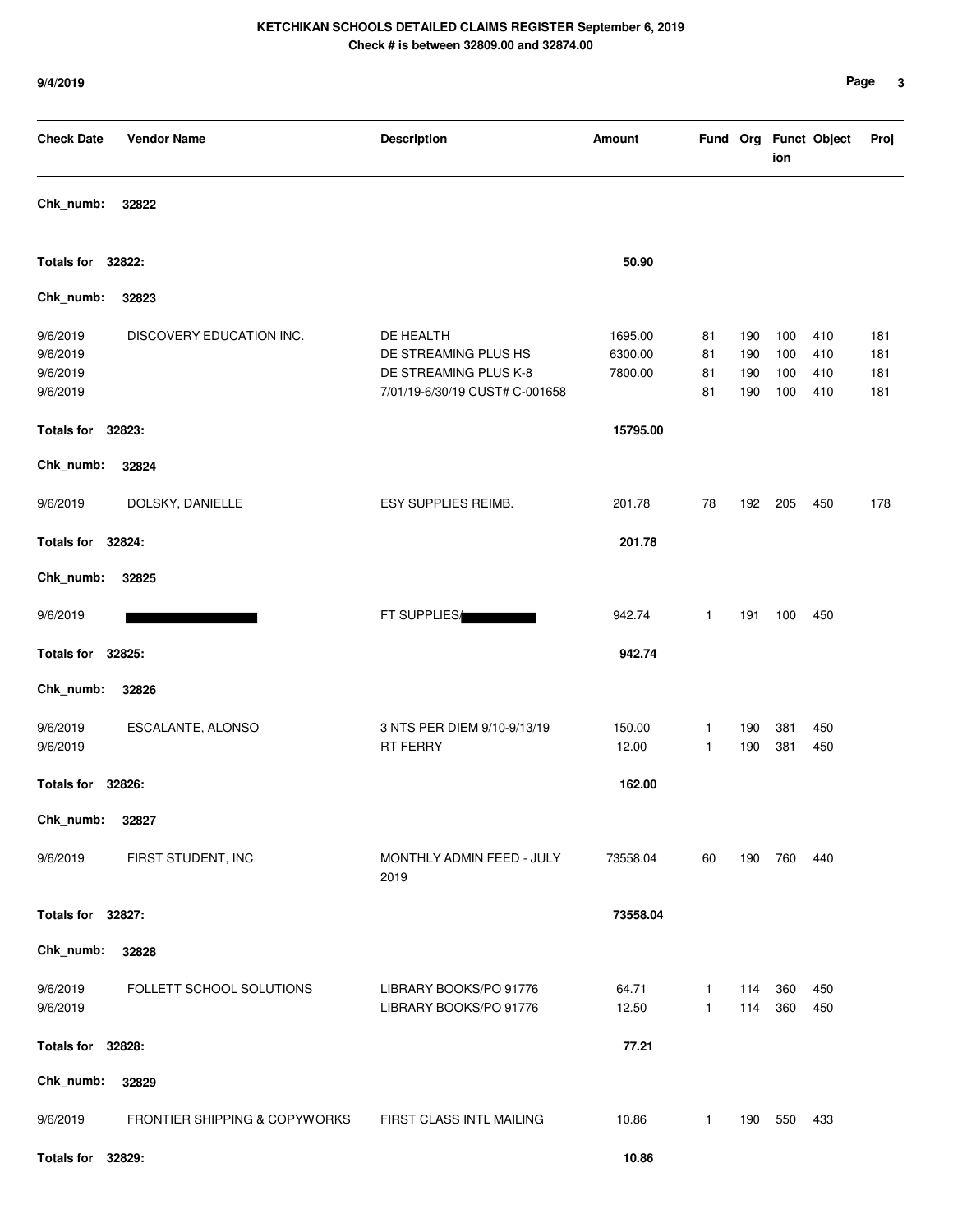| <b>Check Date</b>                            | <b>Vendor Name</b>            | <b>Description</b>                                                                           | Amount                        |                      |                          | ion                      | Fund Org Funct Object    | Proj                     |
|----------------------------------------------|-------------------------------|----------------------------------------------------------------------------------------------|-------------------------------|----------------------|--------------------------|--------------------------|--------------------------|--------------------------|
| Chk_numb:                                    | 32822                         |                                                                                              |                               |                      |                          |                          |                          |                          |
| Totals for 32822:                            |                               |                                                                                              | 50.90                         |                      |                          |                          |                          |                          |
| Chk_numb:                                    | 32823                         |                                                                                              |                               |                      |                          |                          |                          |                          |
| 9/6/2019<br>9/6/2019<br>9/6/2019<br>9/6/2019 | DISCOVERY EDUCATION INC.      | DE HEALTH<br>DE STREAMING PLUS HS<br>DE STREAMING PLUS K-8<br>7/01/19-6/30/19 CUST# C-001658 | 1695.00<br>6300.00<br>7800.00 | 81<br>81<br>81<br>81 | 190<br>190<br>190<br>190 | 100<br>100<br>100<br>100 | 410<br>410<br>410<br>410 | 181<br>181<br>181<br>181 |
| Totals for 32823:                            |                               |                                                                                              | 15795.00                      |                      |                          |                          |                          |                          |
| Chk_numb:                                    | 32824                         |                                                                                              |                               |                      |                          |                          |                          |                          |
| 9/6/2019                                     | DOLSKY, DANIELLE              | ESY SUPPLIES REIMB.                                                                          | 201.78                        | 78                   | 192                      | 205                      | 450                      | 178                      |
| Totals for 32824:                            |                               |                                                                                              | 201.78                        |                      |                          |                          |                          |                          |
| Chk_numb:                                    | 32825                         |                                                                                              |                               |                      |                          |                          |                          |                          |
| 9/6/2019                                     |                               | FT SUPPLIES/                                                                                 | 942.74                        | 1                    | 191                      | 100                      | 450                      |                          |
| <b>Totals for</b>                            | 32825:                        |                                                                                              | 942.74                        |                      |                          |                          |                          |                          |
| Chk_numb:                                    | 32826                         |                                                                                              |                               |                      |                          |                          |                          |                          |
| 9/6/2019<br>9/6/2019                         | ESCALANTE, ALONSO             | 3 NTS PER DIEM 9/10-9/13/19<br>RT FERRY                                                      | 150.00<br>12.00               | 1<br>1               | 190<br>190               | 381<br>381               | 450<br>450               |                          |
| <b>Totals for</b>                            | 32826:                        |                                                                                              | 162.00                        |                      |                          |                          |                          |                          |
| Chk_numb:                                    | 32827                         |                                                                                              |                               |                      |                          |                          |                          |                          |
| 9/6/2019                                     | FIRST STUDENT, INC            | MONTHLY ADMIN FEED - JULY<br>2019                                                            | 73558.04                      | 60                   | 190                      | 760                      | 440                      |                          |
| Totals for 32827:                            |                               |                                                                                              | 73558.04                      |                      |                          |                          |                          |                          |
| Chk_numb:                                    | 32828                         |                                                                                              |                               |                      |                          |                          |                          |                          |
| 9/6/2019<br>9/6/2019                         | FOLLETT SCHOOL SOLUTIONS      | LIBRARY BOOKS/PO 91776<br>LIBRARY BOOKS/PO 91776                                             | 64.71<br>12.50                | $\mathbf{1}$<br>1    | 114<br>114               | 360<br>360               | 450<br>450               |                          |
| Totals for 32828:                            |                               |                                                                                              | 77.21                         |                      |                          |                          |                          |                          |
| Chk_numb:                                    | 32829                         |                                                                                              |                               |                      |                          |                          |                          |                          |
| 9/6/2019                                     | FRONTIER SHIPPING & COPYWORKS | FIRST CLASS INTL MAILING                                                                     | 10.86                         | $\mathbf{1}$         | 190                      | 550                      | 433                      |                          |
| Totals for 32829:                            |                               |                                                                                              | 10.86                         |                      |                          |                          |                          |                          |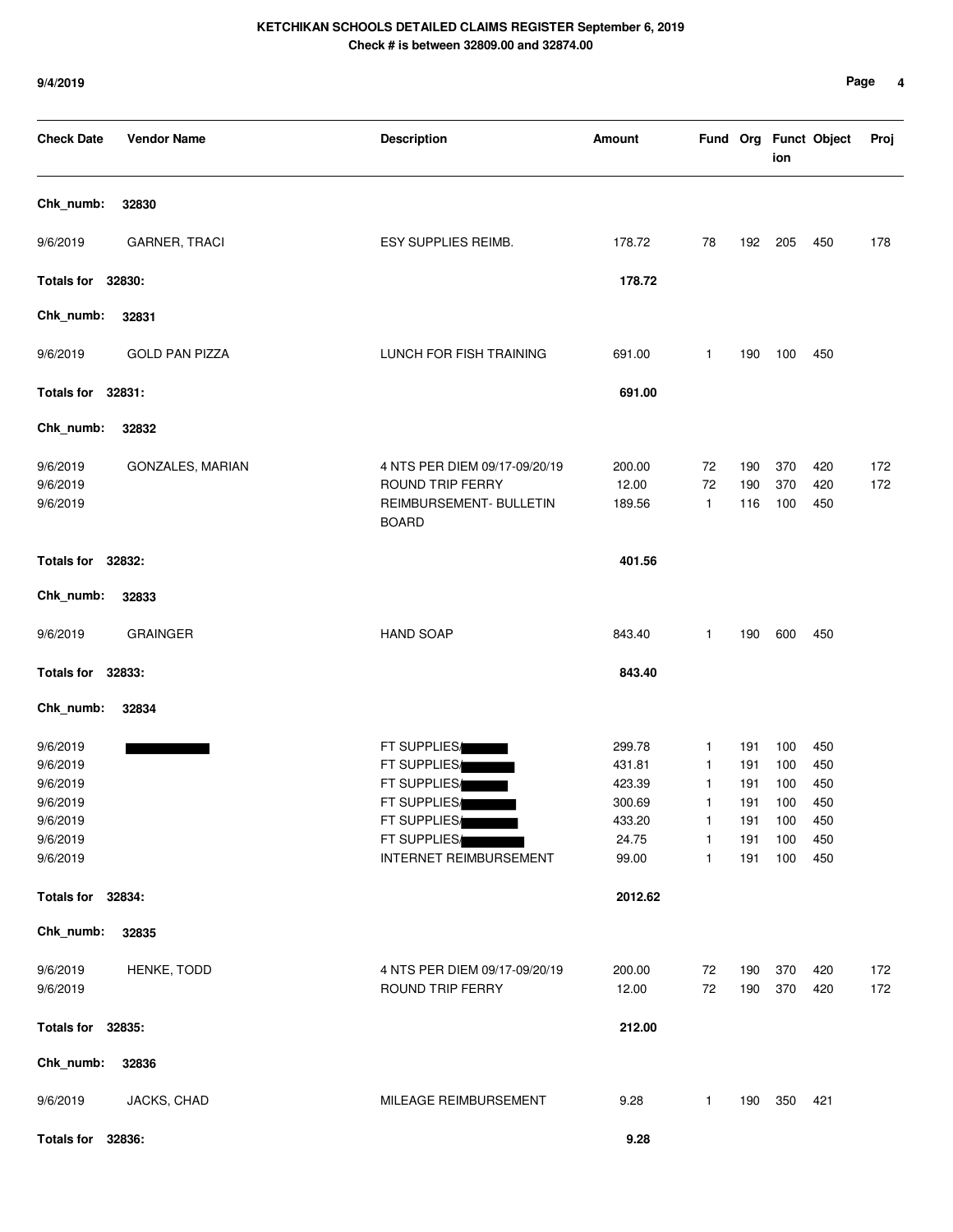| <b>Check Date</b>                                                                | <b>Vendor Name</b>    | <b>Description</b>                                                                                                            | <b>Amount</b>                                                    |                                 |                                               | ion                                           | Fund Org Funct Object                         | Proj       |
|----------------------------------------------------------------------------------|-----------------------|-------------------------------------------------------------------------------------------------------------------------------|------------------------------------------------------------------|---------------------------------|-----------------------------------------------|-----------------------------------------------|-----------------------------------------------|------------|
| Chk_numb:                                                                        | 32830                 |                                                                                                                               |                                                                  |                                 |                                               |                                               |                                               |            |
| 9/6/2019                                                                         | <b>GARNER, TRACI</b>  | ESY SUPPLIES REIMB.                                                                                                           | 178.72                                                           | 78                              | 192                                           | 205                                           | 450                                           | 178        |
| Totals for 32830:                                                                |                       |                                                                                                                               | 178.72                                                           |                                 |                                               |                                               |                                               |            |
| Chk_numb:                                                                        | 32831                 |                                                                                                                               |                                                                  |                                 |                                               |                                               |                                               |            |
| 9/6/2019                                                                         | <b>GOLD PAN PIZZA</b> | LUNCH FOR FISH TRAINING                                                                                                       | 691.00                                                           | 1                               | 190                                           | 100                                           | 450                                           |            |
| Totals for 32831:                                                                |                       |                                                                                                                               | 691.00                                                           |                                 |                                               |                                               |                                               |            |
| Chk_numb:                                                                        | 32832                 |                                                                                                                               |                                                                  |                                 |                                               |                                               |                                               |            |
| 9/6/2019<br>9/6/2019<br>9/6/2019                                                 | GONZALES, MARIAN      | 4 NTS PER DIEM 09/17-09/20/19<br>ROUND TRIP FERRY<br>REIMBURSEMENT- BULLETIN<br><b>BOARD</b>                                  | 200.00<br>12.00<br>189.56                                        | 72<br>72<br>$\mathbf{1}$        | 190<br>190<br>116                             | 370<br>370<br>100                             | 420<br>420<br>450                             | 172<br>172 |
| Totals for 32832:                                                                |                       |                                                                                                                               | 401.56                                                           |                                 |                                               |                                               |                                               |            |
| Chk_numb:                                                                        | 32833                 |                                                                                                                               |                                                                  |                                 |                                               |                                               |                                               |            |
| 9/6/2019                                                                         | <b>GRAINGER</b>       | <b>HAND SOAP</b>                                                                                                              | 843.40                                                           | 1                               | 190                                           | 600                                           | 450                                           |            |
| Totals for 32833:                                                                |                       |                                                                                                                               | 843.40                                                           |                                 |                                               |                                               |                                               |            |
| Chk_numb:                                                                        | 32834                 |                                                                                                                               |                                                                  |                                 |                                               |                                               |                                               |            |
| 9/6/2019<br>9/6/2019<br>9/6/2019<br>9/6/2019<br>9/6/2019<br>9/6/2019<br>9/6/2019 |                       | FT SUPPLIES/<br>FT SUPPLIES/<br>FT SUPPLIES/<br>FT SUPPLIES/<br>FT SUPPLIES/<br>FT SUPPLIES/<br><b>INTERNET REIMBURSEMENT</b> | 299.78<br>431.81<br>423.39<br>300.69<br>433.20<br>24.75<br>99.00 | 1<br>1<br>1<br>1<br>1<br>1<br>1 | 191<br>191<br>191<br>191<br>191<br>191<br>191 | 100<br>100<br>100<br>100<br>100<br>100<br>100 | 450<br>450<br>450<br>450<br>450<br>450<br>450 |            |
| Totals for 32834:                                                                |                       |                                                                                                                               | 2012.62                                                          |                                 |                                               |                                               |                                               |            |
| Chk_numb:                                                                        | 32835                 |                                                                                                                               |                                                                  |                                 |                                               |                                               |                                               |            |
| 9/6/2019<br>9/6/2019                                                             | HENKE, TODD           | 4 NTS PER DIEM 09/17-09/20/19<br>ROUND TRIP FERRY                                                                             | 200.00<br>12.00                                                  | 72<br>72                        | 190<br>190                                    | 370<br>370                                    | 420<br>420                                    | 172<br>172 |
| Totals for 32835:                                                                |                       |                                                                                                                               | 212.00                                                           |                                 |                                               |                                               |                                               |            |
| Chk_numb:                                                                        | 32836                 |                                                                                                                               |                                                                  |                                 |                                               |                                               |                                               |            |
| 9/6/2019                                                                         | JACKS, CHAD           | MILEAGE REIMBURSEMENT                                                                                                         | 9.28                                                             | $\mathbf{1}$                    | 190                                           | 350                                           | 421                                           |            |
| <b>Totals for</b>                                                                | 32836:                |                                                                                                                               | 9.28                                                             |                                 |                                               |                                               |                                               |            |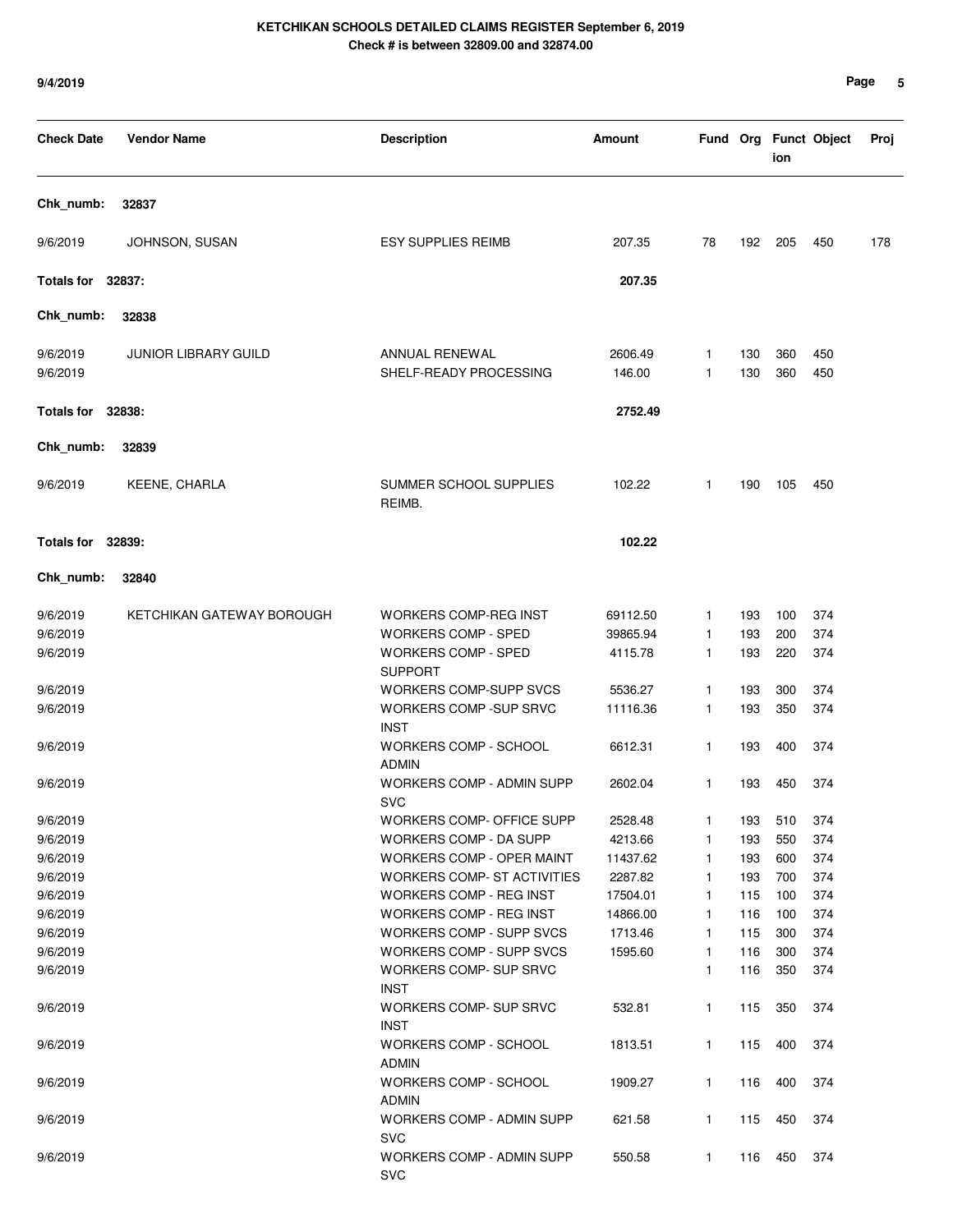| <b>Check Date</b>    | <b>Vendor Name</b>          | <b>Description</b>                                          | Amount              |                              |            | ion        | Fund Org Funct Object | Proj |
|----------------------|-----------------------------|-------------------------------------------------------------|---------------------|------------------------------|------------|------------|-----------------------|------|
| Chk_numb:            | 32837                       |                                                             |                     |                              |            |            |                       |      |
| 9/6/2019             | JOHNSON, SUSAN              | <b>ESY SUPPLIES REIMB</b>                                   | 207.35              | 78                           | 192        | 205        | 450                   | 178  |
| Totals for 32837:    |                             |                                                             | 207.35              |                              |            |            |                       |      |
| Chk numb:            | 32838                       |                                                             |                     |                              |            |            |                       |      |
| 9/6/2019<br>9/6/2019 | <b>JUNIOR LIBRARY GUILD</b> | ANNUAL RENEWAL<br>SHELF-READY PROCESSING                    | 2606.49<br>146.00   | $\mathbf{1}$<br>$\mathbf{1}$ | 130<br>130 | 360<br>360 | 450<br>450            |      |
| Totals for 32838:    |                             |                                                             | 2752.49             |                              |            |            |                       |      |
| Chk_numb:            | 32839                       |                                                             |                     |                              |            |            |                       |      |
| 9/6/2019             | KEENE, CHARLA               | SUMMER SCHOOL SUPPLIES<br>REIMB.                            | 102.22              | $\mathbf{1}$                 | 190        | 105        | 450                   |      |
| Totals for 32839:    |                             |                                                             | 102.22              |                              |            |            |                       |      |
| Chk_numb:            | 32840                       |                                                             |                     |                              |            |            |                       |      |
| 9/6/2019             | KETCHIKAN GATEWAY BOROUGH   | WORKERS COMP-REG INST                                       | 69112.50            | $\mathbf{1}$                 | 193        | 100        | 374                   |      |
| 9/6/2019             |                             | <b>WORKERS COMP - SPED</b>                                  | 39865.94            | $\mathbf{1}$                 | 193        | 200        | 374                   |      |
| 9/6/2019             |                             | <b>WORKERS COMP - SPED</b>                                  | 4115.78             | $\mathbf{1}$                 | 193        | 220        | 374                   |      |
|                      |                             | <b>SUPPORT</b>                                              |                     |                              |            |            |                       |      |
| 9/6/2019<br>9/6/2019 |                             | <b>WORKERS COMP-SUPP SVCS</b><br>WORKERS COMP -SUP SRVC     | 5536.27<br>11116.36 | $\mathbf{1}$<br>$\mathbf{1}$ | 193<br>193 | 300<br>350 | 374<br>374            |      |
|                      |                             | <b>INST</b>                                                 |                     |                              |            |            |                       |      |
| 9/6/2019             |                             | WORKERS COMP - SCHOOL<br><b>ADMIN</b>                       | 6612.31             | 1                            | 193        | 400        | 374                   |      |
| 9/6/2019             |                             | <b>WORKERS COMP - ADMIN SUPP</b><br><b>SVC</b>              | 2602.04             | $\mathbf{1}$                 | 193        | 450        | 374                   |      |
| 9/6/2019             |                             | WORKERS COMP- OFFICE SUPP                                   | 2528.48             | 1                            | 193        | 510        | 374                   |      |
| 9/6/2019             |                             | WORKERS COMP - DA SUPP                                      | 4213.66             | 1                            | 193        | 550        | 374                   |      |
| 9/6/2019             |                             | WORKERS COMP - OPER MAINT                                   | 11437.62            | $\mathbf{1}$                 | 193        | 600        | 374                   |      |
| 9/6/2019             |                             | <b>WORKERS COMP- ST ACTIVITIES</b>                          | 2287.82             | $\mathbf{1}$                 | 193        | 700        | 374                   |      |
| 9/6/2019             |                             | <b>WORKERS COMP - REG INST</b>                              | 17504.01            | $\mathbf{1}$                 | 115        | 100        | 374                   |      |
| 9/6/2019             |                             | <b>WORKERS COMP - REG INST</b>                              | 14866.00            | $\mathbf{1}$                 | 116        | 100        | 374                   |      |
| 9/6/2019<br>9/6/2019 |                             | <b>WORKERS COMP - SUPP SVCS</b><br>WORKERS COMP - SUPP SVCS | 1713.46<br>1595.60  | $\mathbf{1}$<br>$\mathbf{1}$ | 115<br>116 | 300<br>300 | 374<br>374            |      |
| 9/6/2019             |                             | <b>WORKERS COMP- SUP SRVC</b>                               |                     | $\mathbf{1}$                 | 116        | 350        | 374                   |      |
|                      |                             | <b>INST</b>                                                 |                     |                              |            |            |                       |      |
| 9/6/2019             |                             | <b>WORKERS COMP- SUP SRVC</b>                               | 532.81              | $\mathbf{1}$                 | 115        | 350        | 374                   |      |
|                      |                             | <b>INST</b>                                                 |                     |                              |            |            |                       |      |
| 9/6/2019             |                             | WORKERS COMP - SCHOOL<br><b>ADMIN</b>                       | 1813.51             | $\mathbf{1}$                 | 115        | 400        | 374                   |      |
| 9/6/2019             |                             | WORKERS COMP - SCHOOL                                       | 1909.27             | $\mathbf{1}$                 | 116        | 400        | 374                   |      |
|                      |                             | <b>ADMIN</b>                                                |                     |                              |            |            |                       |      |
| 9/6/2019             |                             | <b>WORKERS COMP - ADMIN SUPP</b><br><b>SVC</b>              | 621.58              | $\mathbf{1}$                 | 115        | 450        | 374                   |      |
| 9/6/2019             |                             | WORKERS COMP - ADMIN SUPP<br><b>SVC</b>                     | 550.58              | $\mathbf{1}$                 | 116        | 450        | 374                   |      |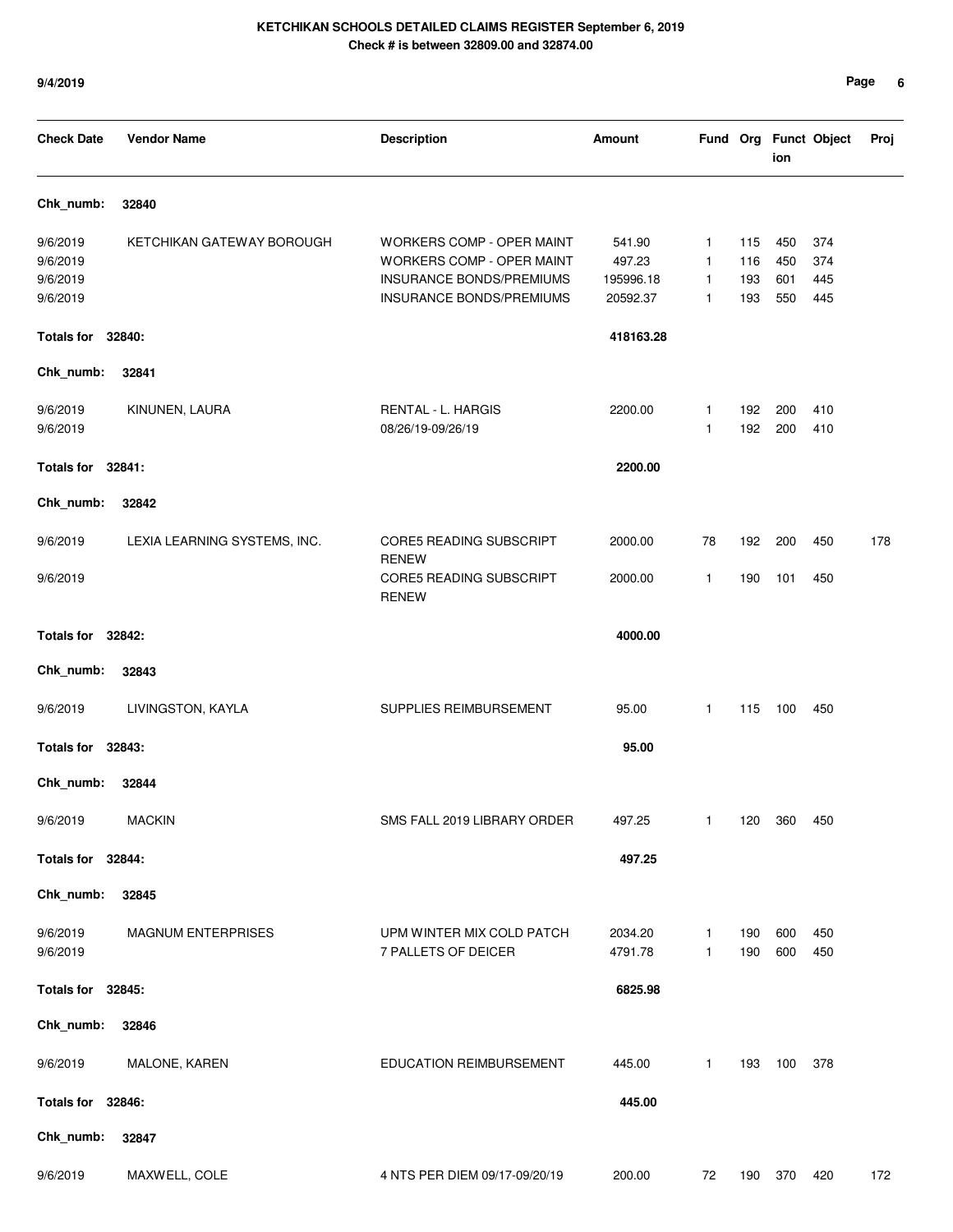| <b>Check Date</b> | <b>Vendor Name</b>           | <b>Description</b>                             | Amount    |    |     | ion | Fund Org Funct Object | Proj |
|-------------------|------------------------------|------------------------------------------------|-----------|----|-----|-----|-----------------------|------|
| Chk_numb:         | 32840                        |                                                |           |    |     |     |                       |      |
| 9/6/2019          | KETCHIKAN GATEWAY BOROUGH    | WORKERS COMP - OPER MAINT                      | 541.90    | 1  | 115 | 450 | 374                   |      |
| 9/6/2019          |                              | WORKERS COMP - OPER MAINT                      | 497.23    | 1  | 116 | 450 | 374                   |      |
| 9/6/2019          |                              | INSURANCE BONDS/PREMIUMS                       | 195996.18 | 1  | 193 | 601 | 445                   |      |
| 9/6/2019          |                              | INSURANCE BONDS/PREMIUMS                       | 20592.37  | 1  | 193 | 550 | 445                   |      |
| <b>Totals for</b> | 32840:                       |                                                | 418163.28 |    |     |     |                       |      |
| Chk_numb:         | 32841                        |                                                |           |    |     |     |                       |      |
| 9/6/2019          | KINUNEN, LAURA               | RENTAL - L. HARGIS                             | 2200.00   | 1  | 192 | 200 | 410                   |      |
| 9/6/2019          |                              | 08/26/19-09/26/19                              |           | 1  | 192 | 200 | 410                   |      |
| <b>Totals for</b> | 32841:                       |                                                | 2200.00   |    |     |     |                       |      |
| Chk_numb:         | 32842                        |                                                |           |    |     |     |                       |      |
| 9/6/2019          | LEXIA LEARNING SYSTEMS, INC. | <b>CORE5 READING SUBSCRIPT</b>                 | 2000.00   | 78 | 192 | 200 | 450                   | 178  |
| 9/6/2019          |                              | <b>RENEW</b><br><b>CORE5 READING SUBSCRIPT</b> | 2000.00   | 1  | 190 | 101 | 450                   |      |
|                   |                              | <b>RENEW</b>                                   |           |    |     |     |                       |      |
| Totals for 32842: |                              |                                                | 4000.00   |    |     |     |                       |      |
| Chk_numb:         | 32843                        |                                                |           |    |     |     |                       |      |
| 9/6/2019          | LIVINGSTON, KAYLA            | SUPPLIES REIMBURSEMENT                         | 95.00     | 1  | 115 | 100 | 450                   |      |
| <b>Totals for</b> | 32843:                       |                                                | 95.00     |    |     |     |                       |      |
| Chk_numb:         | 32844                        |                                                |           |    |     |     |                       |      |
| 9/6/2019          | <b>MACKIN</b>                | SMS FALL 2019 LIBRARY ORDER                    | 497.25    | 1  | 120 | 360 | 450                   |      |
| Totals for 32844: |                              |                                                | 497.25    |    |     |     |                       |      |
| Chk_numb:         | 32845                        |                                                |           |    |     |     |                       |      |
| 9/6/2019          | <b>MAGNUM ENTERPRISES</b>    | UPM WINTER MIX COLD PATCH                      | 2034.20   | 1  | 190 | 600 | 450                   |      |
| 9/6/2019          |                              | 7 PALLETS OF DEICER                            | 4791.78   | 1  | 190 | 600 | 450                   |      |
| Totals for 32845: |                              |                                                | 6825.98   |    |     |     |                       |      |
| Chk_numb:         | 32846                        |                                                |           |    |     |     |                       |      |
| 9/6/2019          | MALONE, KAREN                | EDUCATION REIMBURSEMENT                        | 445.00    | 1  | 193 | 100 | 378                   |      |
| Totals for 32846: |                              |                                                | 445.00    |    |     |     |                       |      |
| Chk_numb:         | 32847                        |                                                |           |    |     |     |                       |      |
| 9/6/2019          | MAXWELL, COLE                | 4 NTS PER DIEM 09/17-09/20/19                  | 200.00    | 72 | 190 | 370 | 420                   | 172  |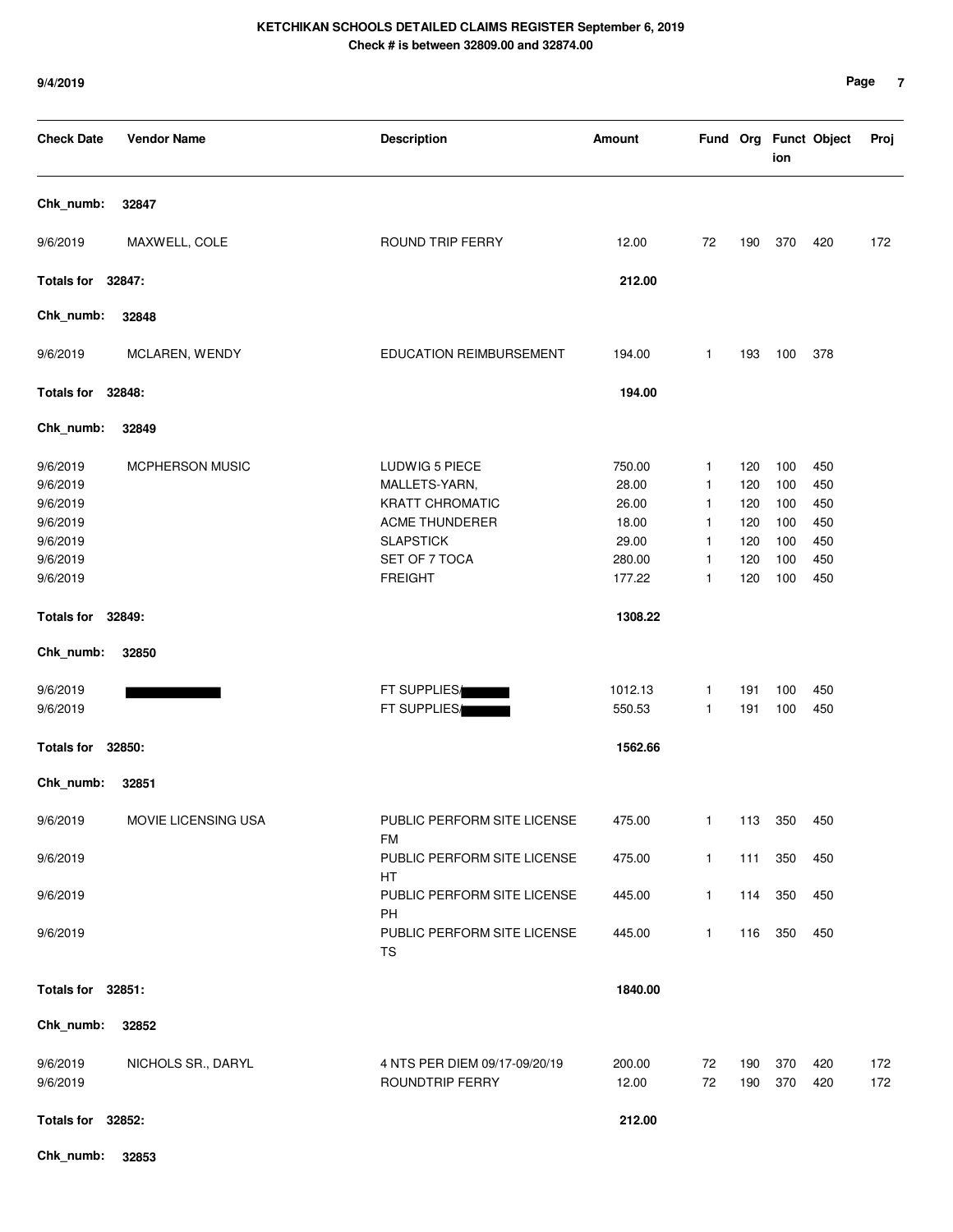| <b>Check Date</b>                                                                | <b>Vendor Name</b>     | <b>Description</b>                                                                                                                 | <b>Amount</b>                                                  |                                                                                        |                                               | ion                                           | Fund Org Funct Object                         | Proj       |
|----------------------------------------------------------------------------------|------------------------|------------------------------------------------------------------------------------------------------------------------------------|----------------------------------------------------------------|----------------------------------------------------------------------------------------|-----------------------------------------------|-----------------------------------------------|-----------------------------------------------|------------|
| Chk_numb:                                                                        | 32847                  |                                                                                                                                    |                                                                |                                                                                        |                                               |                                               |                                               |            |
| 9/6/2019                                                                         | MAXWELL, COLE          | ROUND TRIP FERRY                                                                                                                   | 12.00                                                          | 72                                                                                     | 190                                           | 370                                           | 420                                           | 172        |
| Totals for 32847:                                                                |                        |                                                                                                                                    | 212.00                                                         |                                                                                        |                                               |                                               |                                               |            |
| Chk_numb:                                                                        | 32848                  |                                                                                                                                    |                                                                |                                                                                        |                                               |                                               |                                               |            |
| 9/6/2019                                                                         | MCLAREN, WENDY         | EDUCATION REIMBURSEMENT                                                                                                            | 194.00                                                         | 1                                                                                      | 193                                           | 100                                           | 378                                           |            |
| Totals for 32848:                                                                |                        |                                                                                                                                    | 194.00                                                         |                                                                                        |                                               |                                               |                                               |            |
| Chk_numb:                                                                        | 32849                  |                                                                                                                                    |                                                                |                                                                                        |                                               |                                               |                                               |            |
| 9/6/2019<br>9/6/2019<br>9/6/2019<br>9/6/2019<br>9/6/2019<br>9/6/2019<br>9/6/2019 | <b>MCPHERSON MUSIC</b> | LUDWIG 5 PIECE<br>MALLETS-YARN,<br><b>KRATT CHROMATIC</b><br>ACME THUNDERER<br><b>SLAPSTICK</b><br>SET OF 7 TOCA<br><b>FREIGHT</b> | 750.00<br>28.00<br>26.00<br>18.00<br>29.00<br>280.00<br>177.22 | $\mathbf{1}$<br>$\mathbf{1}$<br>$\mathbf{1}$<br>$\mathbf{1}$<br>$\mathbf{1}$<br>1<br>1 | 120<br>120<br>120<br>120<br>120<br>120<br>120 | 100<br>100<br>100<br>100<br>100<br>100<br>100 | 450<br>450<br>450<br>450<br>450<br>450<br>450 |            |
| Totals for 32849:                                                                |                        |                                                                                                                                    | 1308.22                                                        |                                                                                        |                                               |                                               |                                               |            |
| Chk_numb:                                                                        | 32850                  |                                                                                                                                    |                                                                |                                                                                        |                                               |                                               |                                               |            |
| 9/6/2019<br>9/6/2019                                                             |                        | FT SUPPLIES/<br>FT SUPPLIES/                                                                                                       | 1012.13<br>550.53                                              | 1<br>1                                                                                 | 191<br>191                                    | 100<br>100                                    | 450<br>450                                    |            |
| <b>Totals for</b>                                                                | 32850:                 |                                                                                                                                    | 1562.66                                                        |                                                                                        |                                               |                                               |                                               |            |
| Chk_numb:                                                                        | 32851                  |                                                                                                                                    |                                                                |                                                                                        |                                               |                                               |                                               |            |
| 9/6/2019                                                                         | MOVIE LICENSING USA    | PUBLIC PERFORM SITE LICENSE<br><b>FM</b>                                                                                           | 475.00                                                         | 1                                                                                      | 113                                           | 350                                           | 450                                           |            |
| 9/6/2019                                                                         |                        | PUBLIC PERFORM SITE LICENSE<br>HT                                                                                                  | 475.00                                                         | $\mathbf{1}$                                                                           | 111                                           | 350                                           | 450                                           |            |
| 9/6/2019                                                                         |                        | PUBLIC PERFORM SITE LICENSE<br>PH                                                                                                  | 445.00                                                         | $\mathbf{1}$                                                                           | 114                                           | 350                                           | 450                                           |            |
| 9/6/2019                                                                         |                        | PUBLIC PERFORM SITE LICENSE<br>TS                                                                                                  | 445.00                                                         | $\mathbf{1}$                                                                           | 116                                           | 350                                           | 450                                           |            |
| Totals for 32851:                                                                |                        |                                                                                                                                    | 1840.00                                                        |                                                                                        |                                               |                                               |                                               |            |
| Chk_numb:                                                                        | 32852                  |                                                                                                                                    |                                                                |                                                                                        |                                               |                                               |                                               |            |
| 9/6/2019<br>9/6/2019                                                             | NICHOLS SR., DARYL     | 4 NTS PER DIEM 09/17-09/20/19<br>ROUNDTRIP FERRY                                                                                   | 200.00<br>12.00                                                | 72<br>72                                                                               | 190<br>190                                    | 370<br>370                                    | 420<br>420                                    | 172<br>172 |
| Totals for 32852:                                                                |                        |                                                                                                                                    | 212.00                                                         |                                                                                        |                                               |                                               |                                               |            |
| Chk_numb:                                                                        | 32853                  |                                                                                                                                    |                                                                |                                                                                        |                                               |                                               |                                               |            |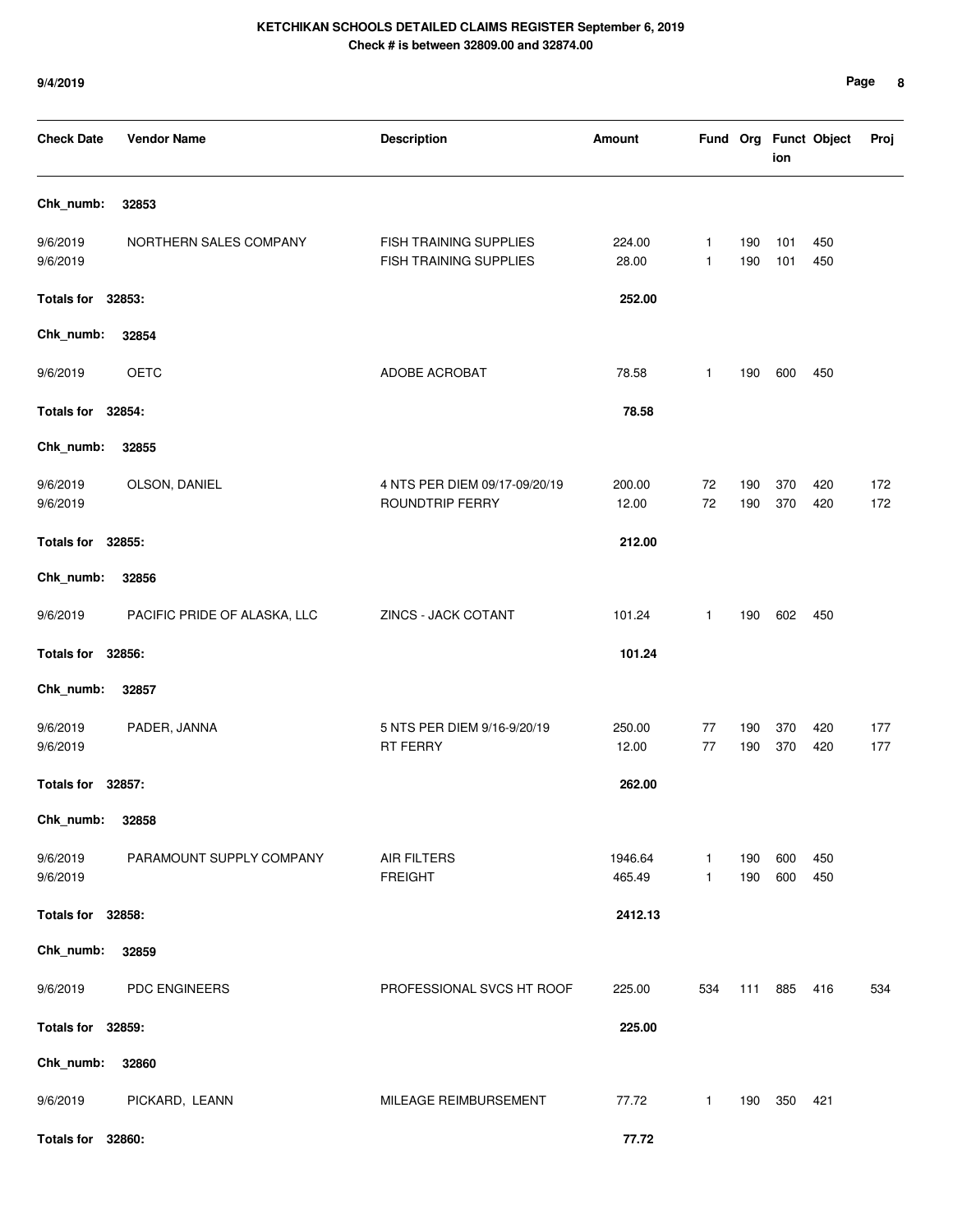| <b>Check Date</b>    | <b>Vendor Name</b>           | <b>Description</b>                               | Amount            |              |            | ion        | Fund Org Funct Object | Proj       |
|----------------------|------------------------------|--------------------------------------------------|-------------------|--------------|------------|------------|-----------------------|------------|
| Chk_numb:            | 32853                        |                                                  |                   |              |            |            |                       |            |
| 9/6/2019<br>9/6/2019 | NORTHERN SALES COMPANY       | FISH TRAINING SUPPLIES<br>FISH TRAINING SUPPLIES | 224.00<br>28.00   | 1<br>1       | 190<br>190 | 101<br>101 | 450<br>450            |            |
| Totals for 32853:    |                              |                                                  | 252.00            |              |            |            |                       |            |
| Chk_numb:            | 32854                        |                                                  |                   |              |            |            |                       |            |
| 9/6/2019             | <b>OETC</b>                  | ADOBE ACROBAT                                    | 78.58             | 1            | 190        | 600        | 450                   |            |
| Totals for 32854:    |                              |                                                  | 78.58             |              |            |            |                       |            |
| Chk_numb:            | 32855                        |                                                  |                   |              |            |            |                       |            |
| 9/6/2019<br>9/6/2019 | OLSON, DANIEL                | 4 NTS PER DIEM 09/17-09/20/19<br>ROUNDTRIP FERRY | 200.00<br>12.00   | 72<br>72     | 190<br>190 | 370<br>370 | 420<br>420            | 172<br>172 |
| Totals for 32855:    |                              |                                                  | 212.00            |              |            |            |                       |            |
| Chk_numb:            | 32856                        |                                                  |                   |              |            |            |                       |            |
| 9/6/2019             | PACIFIC PRIDE OF ALASKA, LLC | ZINCS - JACK COTANT                              | 101.24            | $\mathbf{1}$ | 190        | 602        | 450                   |            |
| Totals for 32856:    |                              |                                                  | 101.24            |              |            |            |                       |            |
| Chk_numb:            | 32857                        |                                                  |                   |              |            |            |                       |            |
| 9/6/2019<br>9/6/2019 | PADER, JANNA                 | 5 NTS PER DIEM 9/16-9/20/19<br><b>RT FERRY</b>   | 250.00<br>12.00   | 77<br>77     | 190<br>190 | 370<br>370 | 420<br>420            | 177<br>177 |
| Totals for 32857:    |                              |                                                  | 262.00            |              |            |            |                       |            |
| Chk_numb:            | 32858                        |                                                  |                   |              |            |            |                       |            |
| 9/6/2019<br>9/6/2019 | PARAMOUNT SUPPLY COMPANY     | <b>AIR FILTERS</b><br><b>FREIGHT</b>             | 1946.64<br>465.49 | 1<br>1       | 190<br>190 | 600<br>600 | 450<br>450            |            |
| Totals for 32858:    |                              |                                                  | 2412.13           |              |            |            |                       |            |
| Chk_numb:            | 32859                        |                                                  |                   |              |            |            |                       |            |
| 9/6/2019             | PDC ENGINEERS                | PROFESSIONAL SVCS HT ROOF                        | 225.00            | 534          | 111        | 885        | 416                   | 534        |
| Totals for 32859:    |                              |                                                  | 225.00            |              |            |            |                       |            |
| Chk_numb:            | 32860                        |                                                  |                   |              |            |            |                       |            |
| 9/6/2019             | PICKARD, LEANN               | MILEAGE REIMBURSEMENT                            | 77.72             | $\mathbf{1}$ | 190        | 350        | 421                   |            |
| Totals for 32860:    |                              |                                                  | 77.72             |              |            |            |                       |            |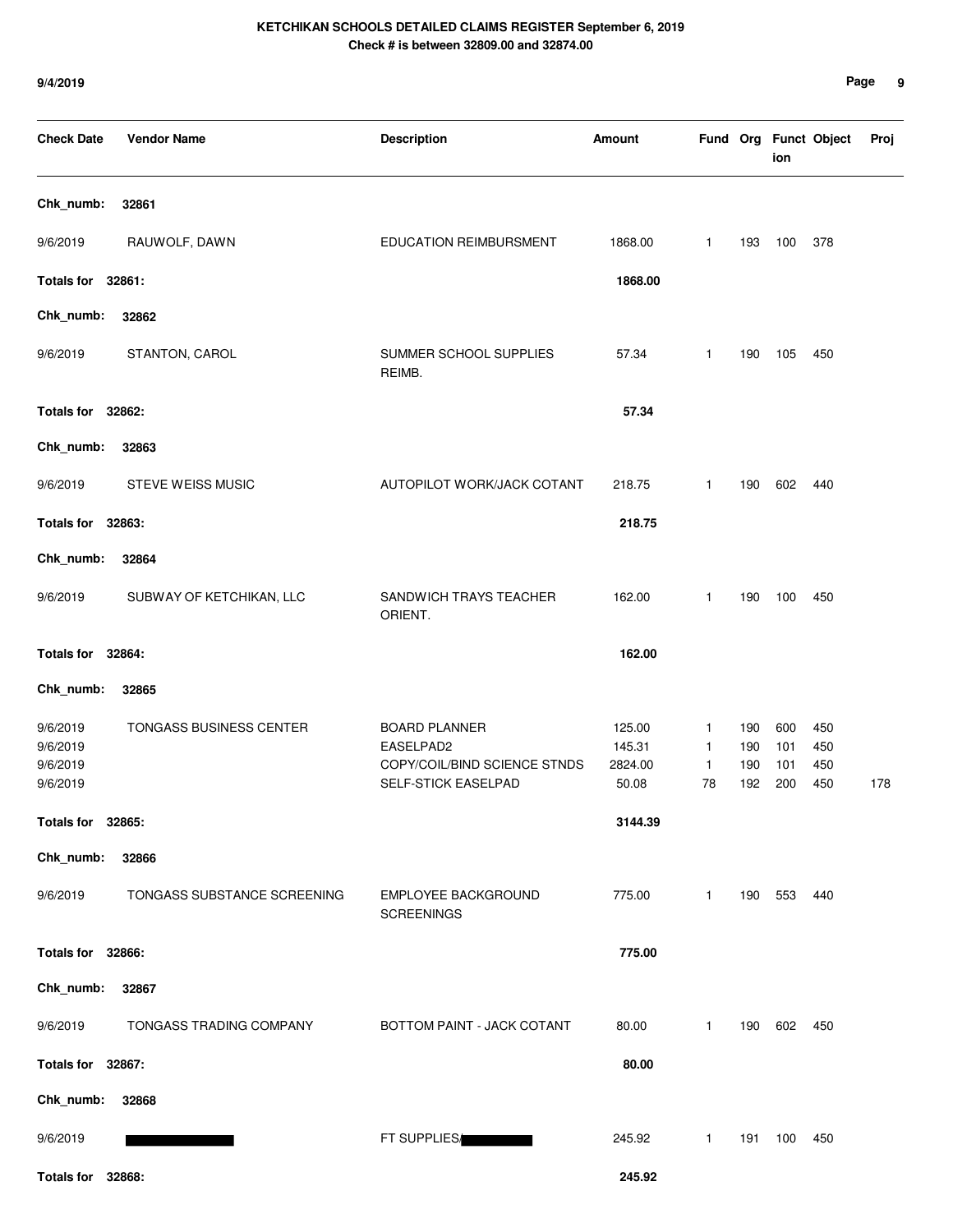| <b>Check Date</b>                            | <b>Vendor Name</b>          | <b>Description</b>                                                                       | <b>Amount</b>                        |                                         |                          | ion                      | Fund Org Funct Object    | Proj |
|----------------------------------------------|-----------------------------|------------------------------------------------------------------------------------------|--------------------------------------|-----------------------------------------|--------------------------|--------------------------|--------------------------|------|
| Chk_numb:                                    | 32861                       |                                                                                          |                                      |                                         |                          |                          |                          |      |
| 9/6/2019                                     | RAUWOLF, DAWN               | <b>EDUCATION REIMBURSMENT</b>                                                            | 1868.00                              | $\mathbf{1}$                            | 193                      | 100                      | 378                      |      |
| Totals for 32861:                            |                             |                                                                                          | 1868.00                              |                                         |                          |                          |                          |      |
| Chk_numb:                                    | 32862                       |                                                                                          |                                      |                                         |                          |                          |                          |      |
| 9/6/2019                                     | STANTON, CAROL              | SUMMER SCHOOL SUPPLIES<br>REIMB.                                                         | 57.34                                | $\mathbf{1}$                            | 190                      | 105                      | 450                      |      |
| Totals for 32862:                            |                             |                                                                                          | 57.34                                |                                         |                          |                          |                          |      |
| Chk_numb:                                    | 32863                       |                                                                                          |                                      |                                         |                          |                          |                          |      |
| 9/6/2019                                     | STEVE WEISS MUSIC           | AUTOPILOT WORK/JACK COTANT                                                               | 218.75                               | $\mathbf{1}$                            | 190                      | 602                      | 440                      |      |
| Totals for 32863:                            |                             |                                                                                          | 218.75                               |                                         |                          |                          |                          |      |
| Chk_numb:                                    | 32864                       |                                                                                          |                                      |                                         |                          |                          |                          |      |
| 9/6/2019                                     | SUBWAY OF KETCHIKAN, LLC    | SANDWICH TRAYS TEACHER<br>ORIENT.                                                        | 162.00                               | $\mathbf{1}$                            | 190                      | 100                      | 450                      |      |
| Totals for 32864:                            |                             |                                                                                          | 162.00                               |                                         |                          |                          |                          |      |
| Chk_numb:                                    | 32865                       |                                                                                          |                                      |                                         |                          |                          |                          |      |
| 9/6/2019<br>9/6/2019<br>9/6/2019<br>9/6/2019 | TONGASS BUSINESS CENTER     | <b>BOARD PLANNER</b><br>EASELPAD2<br>COPY/COIL/BIND SCIENCE STNDS<br>SELF-STICK EASELPAD | 125.00<br>145.31<br>2824.00<br>50.08 | 1<br>$\mathbf{1}$<br>$\mathbf{1}$<br>78 | 190<br>190<br>190<br>192 | 600<br>101<br>101<br>200 | 450<br>450<br>450<br>450 | 178  |
| Totals for 32865:                            |                             |                                                                                          | 3144.39                              |                                         |                          |                          |                          |      |
| Chk_numb:                                    | 32866                       |                                                                                          |                                      |                                         |                          |                          |                          |      |
| 9/6/2019                                     | TONGASS SUBSTANCE SCREENING | <b>EMPLOYEE BACKGROUND</b><br><b>SCREENINGS</b>                                          | 775.00                               | 1                                       | 190                      | 553                      | 440                      |      |
| Totals for 32866:                            |                             |                                                                                          | 775.00                               |                                         |                          |                          |                          |      |
| Chk_numb:                                    | 32867                       |                                                                                          |                                      |                                         |                          |                          |                          |      |
| 9/6/2019                                     | TONGASS TRADING COMPANY     | BOTTOM PAINT - JACK COTANT                                                               | 80.00                                | $\mathbf{1}$                            | 190                      | 602                      | 450                      |      |
| Totals for 32867:                            |                             |                                                                                          | 80.00                                |                                         |                          |                          |                          |      |
| Chk_numb:                                    | 32868                       |                                                                                          |                                      |                                         |                          |                          |                          |      |
| 9/6/2019                                     |                             | FT SUPPLIES                                                                              | 245.92                               | 1                                       | 191                      | 100                      | 450                      |      |
| Totals for 32868:                            |                             |                                                                                          | 245.92                               |                                         |                          |                          |                          |      |